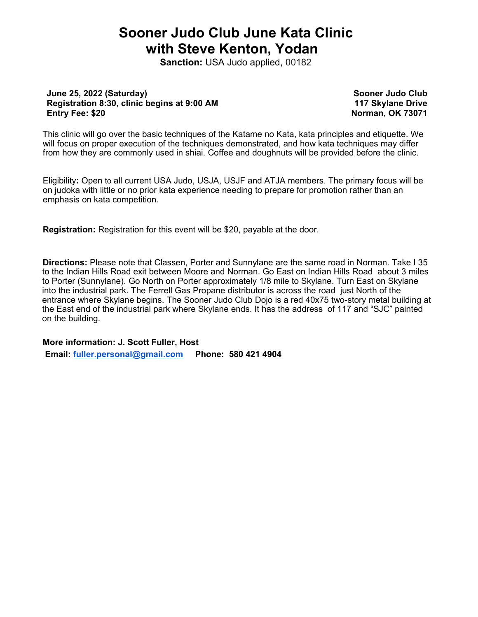## **Sooner Judo Club June Kata Clinic with Steve Kenton, Yodan**

**Sanction:** USA Judo applied, 00182

### **June 25, 2022 (Saturday) Registration 8:30, clinic begins at 9:00 AM Entry Fee: \$20**

**Sooner Judo Club 117 Skylane Drive Norman, OK 73071**

This clinic will go over the basic techniques of the Katame no Kata, kata principles and etiquette. We will focus on proper execution of the techniques demonstrated, and how kata techniques may differ from how they are commonly used in shiai. Coffee and doughnuts will be provided before the clinic.

Eligibility**:** Open to all current USA Judo, USJA, USJF and ATJA members. The primary focus will be on judoka with little or no prior kata experience needing to prepare for promotion rather than an emphasis on kata competition.

**Registration:** Registration for this event will be \$20, payable at the door.

**Directions:** Please note that Classen, Porter and Sunnylane are the same road in Norman. Take I 35 to the Indian Hills Road exit between Moore and Norman. Go East on Indian Hills Road about 3 miles to Porter (Sunnylane). Go North on Porter approximately 1/8 mile to Skylane. Turn East on Skylane into the industrial park. The Ferrell Gas Propane distributor is across the road just North of the entrance where Skylane begins. The Sooner Judo Club Dojo is a red 40x75 two-story metal building at the East end of the industrial park where Skylane ends. It has the address of 117 and "SJC" painted on the building.

**More information: J. Scott Fuller, Host**

 **Email: [fuller.personal@gmail.com](mailto:fuller.personal@gmail.com) Phone: 580 421 4904**